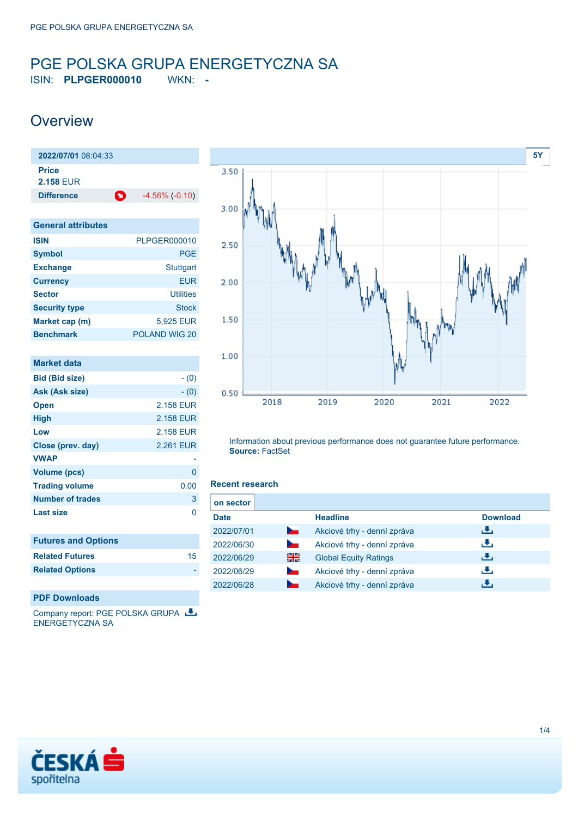### <span id="page-0-0"></span>PGE POLSKA GRUPA ENERGETYCZNA SA ISIN: **PLPGER000010** WKN: **-**

## **Overview**

**2022/07/01** 08:04:33 **Price 2.158** EUR **Difference 1** -4.56% (-0.10)

| <b>General attributes</b> |                  |
|---------------------------|------------------|
| <b>ISIN</b>               | PLPGER000010     |
| <b>Symbol</b>             | <b>PGE</b>       |
| <b>Exchange</b>           | <b>Stuttgart</b> |
| <b>Currency</b>           | <b>EUR</b>       |
| <b>Sector</b>             | <b>Utilities</b> |
| <b>Security type</b>      | <b>Stock</b>     |
| Market cap (m)            | 5,925 EUR        |
| <b>Benchmark</b>          | POLAND WIG 20    |

| <b>Market data</b>         |           |
|----------------------------|-----------|
| <b>Bid (Bid size)</b>      | $- (0)$   |
| Ask (Ask size)             | $- (0)$   |
| <b>Open</b>                | 2.158 EUR |
| High                       | 2.158 EUR |
| Low                        | 2.158 EUR |
| Close (prev. day)          | 2.261 EUR |
| <b>VWAP</b>                |           |
| Volume (pcs)               | 0         |
| <b>Trading volume</b>      | 0.00      |
| <b>Number of trades</b>    | 3         |
| <b>Last size</b>           | 0         |
| <b>Futures and Options</b> |           |
| <b>Related Futures</b>     | 15        |
| <b>Related Options</b>     |           |



Information about previous performance does not guarantee future performance. **Source:** FactSet

### **Recent research**

| on sector   |                          |                              |                 |
|-------------|--------------------------|------------------------------|-----------------|
| <b>Date</b> |                          | <b>Headline</b>              | <b>Download</b> |
| 2022/07/01  | <b>Contract Contract</b> | Akciové trhy - denní zpráva  | ريان            |
| 2022/06/30  | ∼                        | Akciové trhy - denní zpráva  | æ,              |
| 2022/06/29  | 을중                       | <b>Global Equity Ratings</b> | ريان            |
| 2022/06/29  | ∼                        | Akciové trhy - denní zpráva  | æ,              |
| 2022/06/28  |                          | Akciové trhy - denní zpráva  |                 |

### **PDF Downloads**

Company report: PGE POLSKA GRUPA ENERGETYCZNA SA

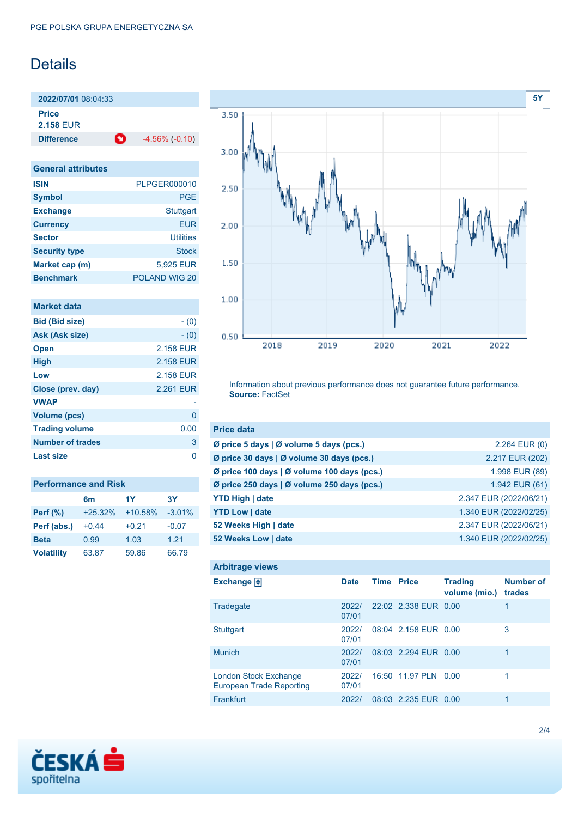# **Details**

**2022/07/01** 08:04:33 **Price 2.158** EUR

**Difference C** -4.56% (-0.10)

| <b>General attributes</b> |                  |
|---------------------------|------------------|
| <b>ISIN</b>               | PLPGER000010     |
| <b>Symbol</b>             | <b>PGE</b>       |
| <b>Exchange</b>           | <b>Stuttgart</b> |
| <b>Currency</b>           | <b>EUR</b>       |
| <b>Sector</b>             | Utilities        |
| <b>Security type</b>      | Stock            |
| Market cap (m)            | 5,925 EUR        |
| <b>Benchmark</b>          | POLAND WIG 20    |

| <b>Market data</b>      |           |
|-------------------------|-----------|
| <b>Bid (Bid size)</b>   | $- (0)$   |
| Ask (Ask size)          | $- (0)$   |
| <b>Open</b>             | 2.158 EUR |
| <b>High</b>             | 2.158 EUR |
| Low                     | 2.158 EUR |
| Close (prev. day)       | 2.261 EUR |
| <b>VWAP</b>             |           |
| Volume (pcs)            | 0         |
| <b>Trading volume</b>   | 0.00      |
| <b>Number of trades</b> | 3         |
| Last size               | n         |

| <b>Performance and Risk</b> |           |           |          |
|-----------------------------|-----------|-----------|----------|
|                             | 6m        | 1Y        | 3Υ       |
| <b>Perf</b> (%)             | $+25.32%$ | $+10.58%$ | $-3.01%$ |
| Perf (abs.)                 | $+0.44$   | $+0.21$   | $-0.07$  |
| <b>Beta</b>                 | 0.99      | 1.03      | 1.21     |
| <b>Volatility</b>           | 63.87     | 59.86     | 66.79    |



Information about previous performance does not guarantee future performance. **Source:** FactSet

| <b>Price data</b>                           |                        |
|---------------------------------------------|------------------------|
| Ø price 5 days   Ø volume 5 days (pcs.)     | $2.264$ EUR $(0)$      |
| Ø price 30 days   Ø volume 30 days (pcs.)   | 2.217 EUR (202)        |
| Ø price 100 days   Ø volume 100 days (pcs.) | 1.998 EUR (89)         |
| Ø price 250 days   Ø volume 250 days (pcs.) | 1.942 EUR (61)         |
| <b>YTD High   date</b>                      | 2.347 EUR (2022/06/21) |
| <b>YTD Low   date</b>                       | 1.340 EUR (2022/02/25) |
| 52 Weeks High   date                        | 2.347 EUR (2022/06/21) |
| 52 Weeks Low   date                         | 1.340 EUR (2022/02/25) |

| <b>Arbitrage views</b>                                          |                |                   |                      |                                 |                            |
|-----------------------------------------------------------------|----------------|-------------------|----------------------|---------------------------------|----------------------------|
| Exchange $\vert \frac{1}{2} \vert$                              | <b>Date</b>    | <b>Time Price</b> |                      | <b>Trading</b><br>volume (mio.) | <b>Number of</b><br>trades |
| Tradegate                                                       | 2022/<br>07/01 |                   | 22:02 2.338 EUR 0.00 |                                 | 1                          |
| Stuttgart                                                       | 2022/<br>07/01 |                   | 08:04 2.158 EUR 0.00 |                                 | 3                          |
| <b>Munich</b>                                                   | 2022/<br>07/01 |                   | 08:03 2 294 FUR 0.00 |                                 |                            |
| <b>London Stock Exchange</b><br><b>European Trade Reporting</b> | 2022/<br>07/01 |                   | 16:50 11.97 PLN      | 0.OO                            | 1                          |
| Frankfurt                                                       | 2022/          |                   | 08:03 2.235 EUR 0.00 |                                 |                            |

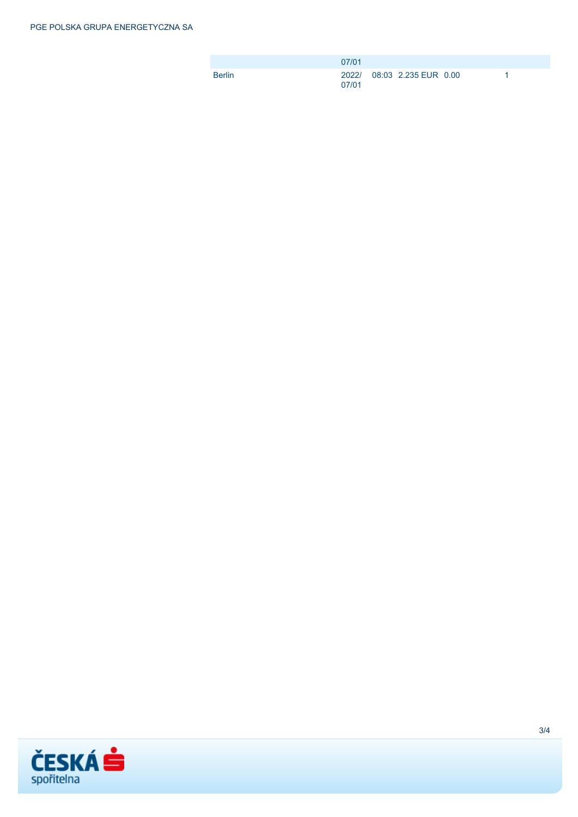|               | 07/01 |                            |  |
|---------------|-------|----------------------------|--|
| <b>Berlin</b> | 07/01 | 2022/ 08:03 2.235 EUR 0.00 |  |